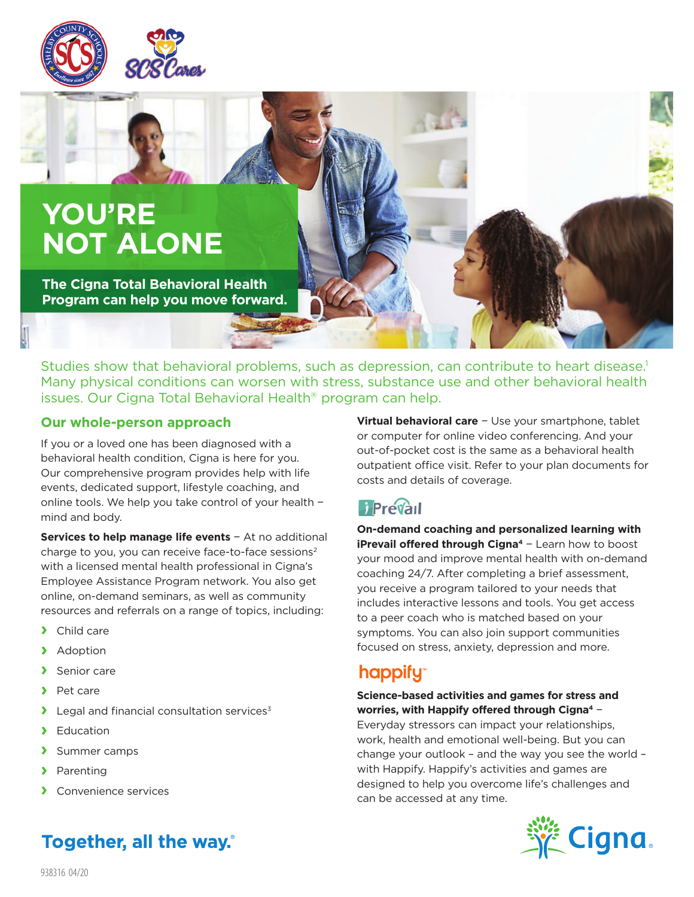



**The Cigna Total Behavioral Health Program can help you move forward.**

Studies show that behavioral problems, such as depression, can contribute to heart disease.<sup>1</sup> Many physical conditions can worsen with stress, substance use and other behavioral health issues. Our Cigna Total Behavioral Health® program can help.

### **Our whole-person approach**

If you or a loved one has been diagnosed with a behavioral health condition, Cigna is here for you. Our comprehensive program provides help with life events, dedicated support, lifestyle coaching, and online tools. We help you take control of your health − mind and body.

**Services to help manage life events** − At no additional charge to you, you can receive face-to-face sessions<sup>2</sup> with a licensed mental health professional in Cigna's Employee Assistance Program network. You also get online, on-demand seminars, as well as community resources and referrals on a range of topics, including:

- **›** Child care
- **›** Adoption
- **›** Senior care
- **›** Pet care
- **E** Legal and financial consultation services<sup>3</sup>
- **›** Education
- **›** Summer camps
- **›** Parenting
- **›** Convenience services

Together, all the way.

**Virtual behavioral care** − Use your smartphone, tablet or computer for online video conferencing. And your out-of-pocket cost is the same as a behavioral health outpatient office visit. Refer to your plan documents for costs and details of coverage.

**On-demand coaching and personalized learning with iPrevail offered through Cigna4** − Learn how to boost your mood and improve mental health with on-demand coaching 24/7. After completing a brief assessment, you receive a program tailored to your needs that includes interactive lessons and tools. You get access to a peer coach who is matched based on your symptoms. You can also join support communities focused on stress, anxiety, depression and more.

# **happify**

### **Science-based activities and games for stress and worries, with Happify offered through Cigna4** −

Everyday stressors can impact your relationships, work, health and emotional well-being. But you can change your outlook – and the way you see the world – with Happify. Happify's activities and games are designed to help you overcome life's challenges and can be accessed at any time.



938316 04/20